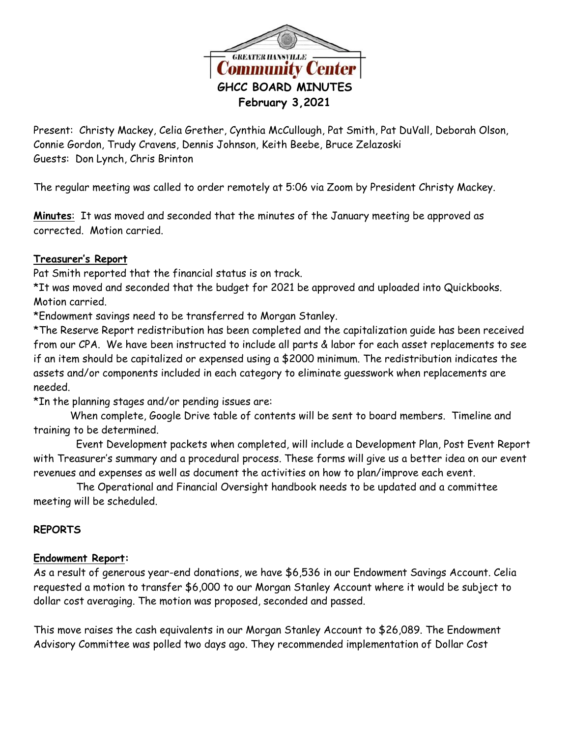

Present: Christy Mackey, Celia Grether, Cynthia McCullough, Pat Smith, Pat DuVall, Deborah Olson, Connie Gordon, Trudy Cravens, Dennis Johnson, Keith Beebe, Bruce Zelazoski Guests: Don Lynch, Chris Brinton

The regular meeting was called to order remotely at 5:06 via Zoom by President Christy Mackey.

**Minutes**: It was moved and seconded that the minutes of the January meeting be approved as corrected. Motion carried.

#### **Treasurer's Report**

Pat Smith reported that the financial status is on track.

\*It was moved and seconded that the budget for 2021 be approved and uploaded into Quickbooks. Motion carried.

\*Endowment savings need to be transferred to Morgan Stanley.

\*The Reserve Report redistribution has been completed and the capitalization guide has been received from our CPA. We have been instructed to include all parts & labor for each asset replacements to see if an item should be capitalized or expensed using a \$2000 minimum. The redistribution indicates the assets and/or components included in each category to eliminate guesswork when replacements are needed.

\*In the planning stages and/or pending issues are:

When complete, Google Drive table of contents will be sent to board members. Timeline and training to be determined.

 Event Development packets when completed, will include a Development Plan, Post Event Report with Treasurer's summary and a procedural process. These forms will give us a better idea on our event revenues and expenses as well as document the activities on how to plan/improve each event.

 The Operational and Financial Oversight handbook needs to be updated and a committee meeting will be scheduled.

### **REPORTS**

#### **Endowment Report:**

As a result of generous year-end donations, we have \$6,536 in our Endowment Savings Account. Celia requested a motion to transfer \$6,000 to our Morgan Stanley Account where it would be subject to dollar cost averaging. The motion was proposed, seconded and passed.

This move raises the cash equivalents in our Morgan Stanley Account to \$26,089. The Endowment Advisory Committee was polled two days ago. They recommended implementation of Dollar Cost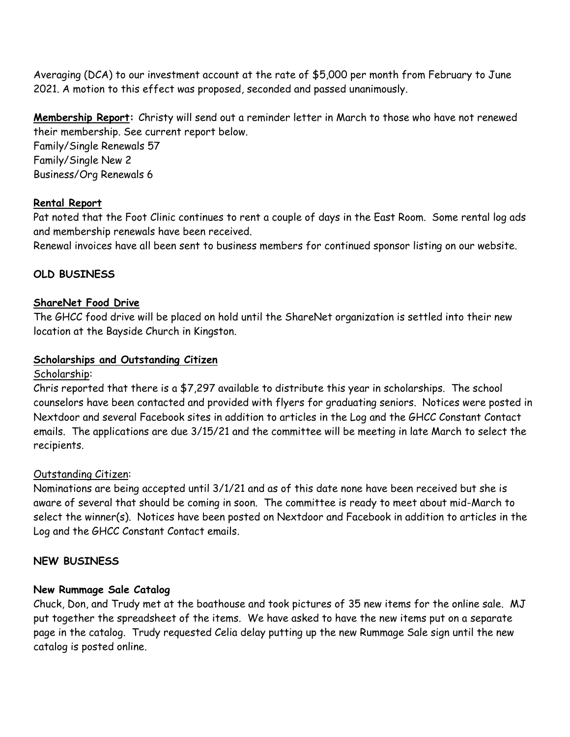Averaging (DCA) to our investment account at the rate of \$5,000 per month from February to June 2021. A motion to this effect was proposed, seconded and passed unanimously.

**Membership Report:** Christy will send out a reminder letter in March to those who have not renewed their membership. See current report below.

Family/Single Renewals 57 Family/Single New 2 Business/Org Renewals 6

## **Rental Report**

Pat noted that the Foot Clinic continues to rent a couple of days in the East Room. Some rental log ads and membership renewals have been received.

Renewal invoices have all been sent to business members for continued sponsor listing on our website.

# **OLD BUSINESS**

### **ShareNet Food Drive**

The GHCC food drive will be placed on hold until the ShareNet organization is settled into their new location at the Bayside Church in Kingston.

#### **Scholarships and Outstanding Citizen**

#### Scholarship:

Chris reported that there is a \$7,297 available to distribute this year in scholarships. The school counselors have been contacted and provided with flyers for graduating seniors. Notices were posted in Nextdoor and several Facebook sites in addition to articles in the Log and the GHCC Constant Contact emails. The applications are due 3/15/21 and the committee will be meeting in late March to select the recipients.

### Outstanding Citizen:

Nominations are being accepted until 3/1/21 and as of this date none have been received but she is aware of several that should be coming in soon. The committee is ready to meet about mid-March to select the winner(s). Notices have been posted on Nextdoor and Facebook in addition to articles in the Log and the GHCC Constant Contact emails.

### **NEW BUSINESS**

### **New Rummage Sale Catalog**

Chuck, Don, and Trudy met at the boathouse and took pictures of 35 new items for the online sale. MJ put together the spreadsheet of the items. We have asked to have the new items put on a separate page in the catalog. Trudy requested Celia delay putting up the new Rummage Sale sign until the new catalog is posted online.